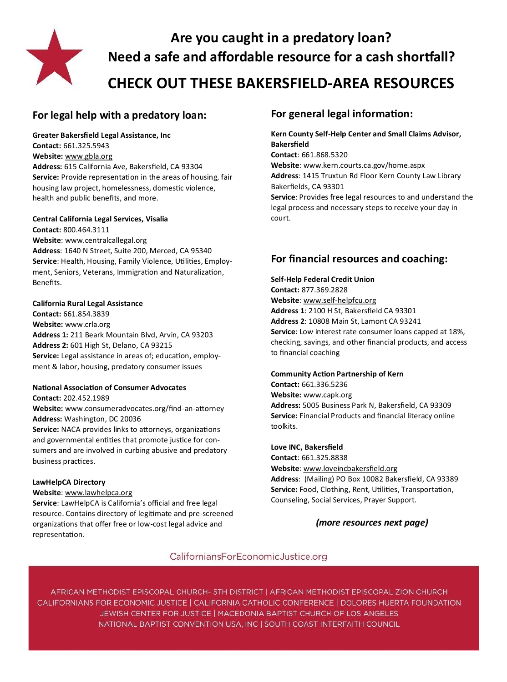

## **Are you caught in a predatory loan? Need a safe and affordable resource for a cash shortfall? CHECK OUT THESE BAKERSFIELD-AREA RESOURCES**

## **For legal help with a predatory loan:**

**Greater Bakersfield Legal Assistance, Inc Contact:** 661.325.5943 **Website:** [www.gbla.org](http://www.gbla.org) **Address:** 615 California Ave, Bakersfield, CA 93304 **Service:** Provide representation in the areas of housing, fair housing law project, homelessness, domestic violence, health and public benefits, and more.

#### **Central California Legal Services, Visalia**

**Contact:** 800.464.3111 **Website**: www.centralcallegal.org **Address**: 1640 N Street, Suite 200, Merced, CA 95340 **Service**: Health, Housing, Family Violence, Utilities, Employment, Seniors, Veterans, Immigration and Naturalization, Benefits.

#### **California Rural Legal Assistance**

**Contact:** 661.854.3839 **Website:** www.crla.org **Address 1:** 211 Beark Mountain Blvd, Arvin, CA 93203 **Address 2:** 601 High St, Delano, CA 93215 **Service:** Legal assistance in areas of; education, employment & labor, housing, predatory consumer issues

#### **National Association of Consumer Advocates Contact:** 202.452.1989

**Website:** www.consumeradvocates.org/find-an-attorney **Address:** Washington, DC 20036

**Service:** NACA provides links to attorneys, organizations and governmental entities that promote justice for consumers and are involved in curbing abusive and predatory business practices.

#### **LawHelpCA Directory**

#### **Website**: [www.lawhelpca.org](http://www.lawhelpca.org)

**Service**: LawHelpCA is California's official and free legal resource. Contains directory of legitimate and pre-screened organizations that offer free or low-cost legal advice and representation.

## **For general legal information:**

**Kern County Self-Help Center and Small Claims Advisor, Bakersfield Contact**: 661.868.5320 **Website**: www.kern.courts.ca.gov/home.aspx **Address**: 1415 Truxtun Rd Floor Kern County Law Library Bakerfields, CA 93301 **Service**: Provides free legal resources to and understand the legal process and necessary steps to receive your day in court.

## **For financial resources and coaching:**

#### **Self-Help Federal Credit Union**

**Contact:** 877.369.2828 **Website**: www.self-[helpfcu.org](http://www.self-helpfcu.org) **Address 1**: 2100 H St, Bakersfield CA 93301 **Address 2**: 10808 Main St, Lamont CA 93241 **Service**: Low interest rate consumer loans capped at 18%, checking, savings, and other financial products, and access to financial coaching

#### **Community Action Partnership of Kern**

**Contact:** 661.336.5236 **Website:** www.capk.org **Address:** 5005 Business Park N, Bakersfield, CA 93309 **Service:** Financial Products and financial literacy online toolkits.

#### **Love INC, Bakersfield**

**Contact**: 661.325.8838 **Website**: [www.loveincbakersfield.org](http://www.loveincbakersfield.org) **Address**: (Mailing) PO Box 10082 Bakersfield, CA 93389 **Service:** Food, Clothing, Rent, Utilities, Transportation, Counseling, Social Services, Prayer Support.

#### *(more resources next page)*

### CaliforniansForEconomicJustice.org

AFRICAN METHODIST EPISCOPAL CHURCH- 5TH DISTRICT | AFRICAN METHODIST EPISCOPAL ZION CHURCH CALIFORNIANS FOR ECONOMIC JUSTICE | CALIFORNIA CATHOLIC CONFERENCE | DOLORES HUERTA FOUNDATION JEWISH CENTER FOR JUSTICE | MACEDONIA BAPTIST CHURCH OF LOS ANGELES NATIONAL BAPTIST CONVENTION USA, INC | SOUTH COAST INTERFAITH COUNCIL